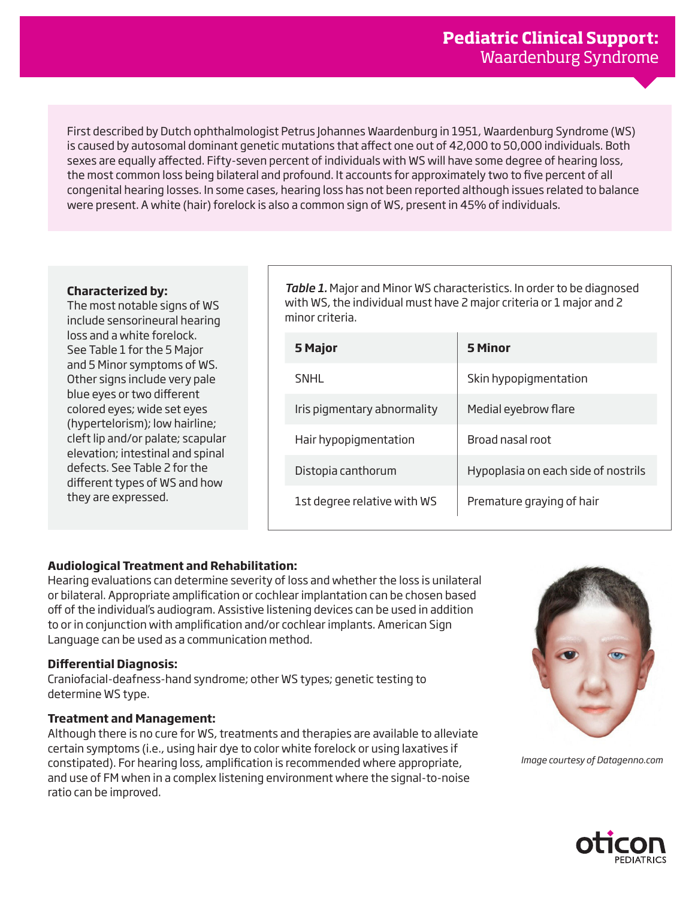First described by Dutch ophthalmologist Petrus Johannes Waardenburg in 1951, Waardenburg Syndrome (WS) is caused by autosomal dominant genetic mutations that affect one out of 42,000 to 50,000 individuals. Both sexes are equally affected. Fifty-seven percent of individuals with WS will have some degree of hearing loss, the most common loss being bilateral and profound. It accounts for approximately two to five percent of all congenital hearing losses. In some cases, hearing loss has not been reported although issues related to balance were present. A white (hair) forelock is also a common sign of WS, present in 45% of individuals.

## **Characterized by:**

The most notable signs of WS include sensorineural hearing loss and a white forelock. See Table 1 for the 5 Major and 5 Minor symptoms of WS. Other signs include very pale blue eyes or two different colored eyes; wide set eyes (hypertelorism); low hairline; cleft lip and/or palate; scapular elevation; intestinal and spinal defects. See Table 2 for the different types of WS and how they are expressed.

*Table 1.* Major and Minor WS characteristics. In order to be diagnosed with WS, the individual must have 2 major criteria or 1 major and 2 minor criteria.

| 5 Major                     | 5 Minor                             |  |
|-----------------------------|-------------------------------------|--|
| SNHL                        | Skin hypopigmentation               |  |
| Iris pigmentary abnormality | Medial eyebrow flare                |  |
| Hair hypopigmentation       | Broad nasal root                    |  |
| Distopia canthorum          | Hypoplasia on each side of nostrils |  |
| 1st degree relative with WS | Premature graying of hair           |  |

## **Audiological Treatment and Rehabilitation:**

Hearing evaluations can determine severity of loss and whether the loss is unilateral or bilateral. Appropriate amplification or cochlear implantation can be chosen based off of the individual's audiogram. Assistive listening devices can be used in addition to or in conjunction with amplification and/or cochlear implants. American Sign Language can be used as a communication method.

## **Differential Diagnosis:**

Craniofacial-deafness-hand syndrome; other WS types; genetic testing to determine WS type.

## **Treatment and Management:**

Although there is no cure for WS, treatments and therapies are available to alleviate certain symptoms (i.e., using hair dye to color white forelock or using laxatives if constipated). For hearing loss, amplification is recommended where appropriate, and use of FM when in a complex listening environment where the signal-to-noise ratio can be improved.



*Image courtesy of Datagenno.com*